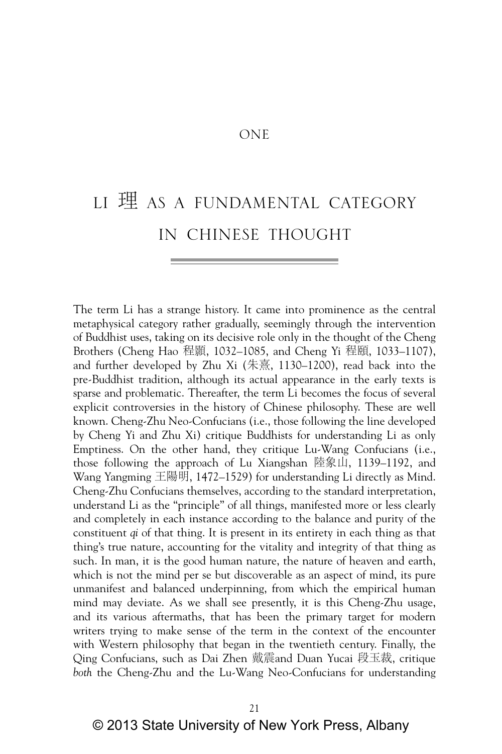## ONE

# LI 理 AS A FUNDAMENTAL CATEGORY IN CHINESE THOUGHT

The term Li has a strange history. It came into prominence as the central metaphysical category rather gradually, seemingly through the intervention of Buddhist uses, taking on its decisive role only in the thought of the Cheng Brothers (Cheng Hao 程顥, 1032–1085, and Cheng Yi 程頤, 1033–1107), and further developed by Zhu Xi (朱熹, 1130–1200), read back into the pre‑Buddhist tradition, although its actual appearance in the early texts is sparse and problematic. Thereafter, the term Li becomes the focus of several explicit controversies in the history of Chinese philosophy. These are well known. Cheng‑Zhu Neo‑Confucians (i.e., those following the line developed by Cheng Yi and Zhu Xi) critique Buddhists for understanding Li as only Emptiness. On the other hand, they critique Lu‑Wang Confucians (i.e., those following the approach of Lu Xiangshan 陸象山, 1139–1192, and Wang Yangming 王陽明, 1472–1529) for understanding Li directly as Mind. Cheng‑Zhu Confucians themselves, according to the standard interpretation, understand Li as the "principle" of all things, manifested more or less clearly and completely in each instance according to the balance and purity of the constituent *qi* of that thing. It is present in its entirety in each thing as that thing's true nature, accounting for the vitality and integrity of that thing as such. In man, it is the good human nature, the nature of heaven and earth, which is not the mind per se but discoverable as an aspect of mind, its pure unmanifest and balanced underpinning, from which the empirical human mind may deviate. As we shall see presently, it is this Cheng-Zhu usage, and its various aftermaths, that has been the primary target for modern writers trying to make sense of the term in the context of the encounter with Western philosophy that began in the twentieth century. Finally, the Qing Confucians, such as Dai Zhen 戴震and Duan Yucai 段玉裁, critique *both* the Cheng‑Zhu and the Lu‑Wang Neo‑Confucians for understanding

## © 2013 State University of New York Press, Albany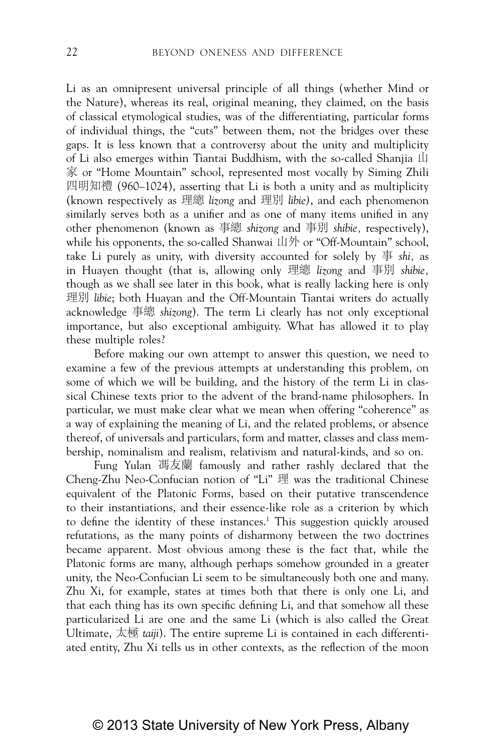Li as an omnipresent universal principle of all things (whether Mind or the Nature), whereas its real, original meaning, they claimed, on the basis of classical etymological studies, was of the differentiating, particular forms of individual things, the "cuts" between them, not the bridges over these gaps. It is less known that a controversy about the unity and multiplicity of Li also emerges within Tiantai Buddhism, with the so-called Shanjia 山 家 or "Home Mountain" school, represented most vocally by Siming Zhili 四明知禮 (960–1024), asserting that Li is both a unity and as multiplicity (known respectively as 理總 *lizong* and 理別 *libie)*, and each phenomenon similarly serves both as a unifier and as one of many items unified in any other phenomenon (known as 事總 *shizong* and 事別 *shibie,* respectively), while his opponents, the so-called Shanwai 山外 or "Off-Mountain" school, take Li purely as unity, with diversity accounted for solely by 事 *shi,* as in Huayen thought (that is, allowing only 理總 *lizong* and 事別 *shibie,* though as we shall see later in this book, what is really lacking here is only 理別 *libie*; both Huayan and the Off-Mountain Tiantai writers do actually acknowledge 事總 *shizong*). The term Li clearly has not only exceptional importance, but also exceptional ambiguity. What has allowed it to play these multiple roles?

Before making our own attempt to answer this question, we need to examine a few of the previous attempts at understanding this problem, on some of which we will be building, and the history of the term Li in classical Chinese texts prior to the advent of the brand‑name philosophers. In particular, we must make clear what we mean when offering "coherence" as a way of explaining the meaning of Li, and the related problems, or absence thereof, of universals and particulars, form and matter, classes and class mem‑ bership, nominalism and realism, relativism and natural-kinds, and so on.

Fung Yulan 馮友蘭 famously and rather rashly declared that the Cheng‑Zhu Neo‑Confucian notion of "Li" 理 was the traditional Chinese equivalent of the Platonic Forms, based on their putative transcendence to their instantiations, and their essence‑like role as a criterion by which to define the identity of these instances.<sup>1</sup> This suggestion quickly aroused refutations, as the many points of disharmony between the two doctrines became apparent. Most obvious among these is the fact that, while the Platonic forms are many, although perhaps somehow grounded in a greater unity, the Neo-Confucian Li seem to be simultaneously both one and many. Zhu Xi, for example, states at times both that there is only one Li, and that each thing has its own specific defining Li, and that somehow all these particularized Li are one and the same Li (which is also called the Great Ultimate, 太極 *taiji*). The entire supreme Li is contained in each differenti‑ ated entity, Zhu Xi tells us in other contexts, as the reflection of the moon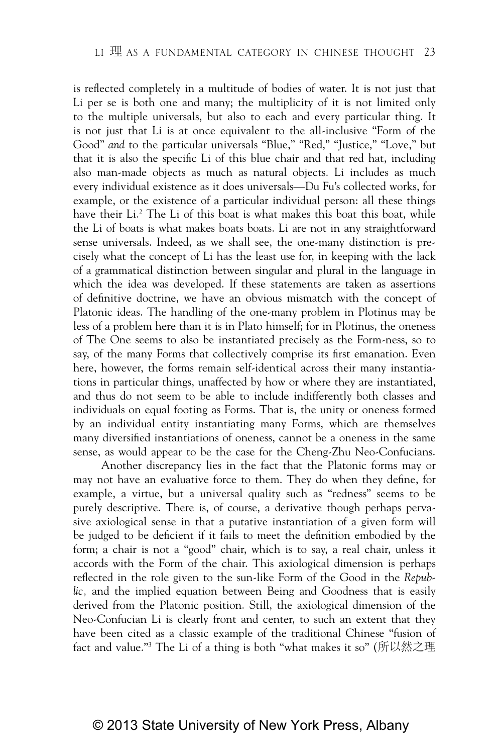is reflected completely in a multitude of bodies of water. It is not just that Li per se is both one and many; the multiplicity of it is not limited only to the multiple universals, but also to each and every particular thing. It is not just that Li is at once equivalent to the all‑inclusive "Form of the Good" *and* to the particular universals "Blue," "Red," "Justice," "Love," but that it is also the specific Li of this blue chair and that red hat, including also man‑made objects as much as natural objects. Li includes as much every individual existence as it does universals—Du Fu's collected works, for example, or the existence of a particular individual person: all these things have their Li.2 The Li of this boat is what makes this boat this boat, while the Li of boats is what makes boats boats. Li are not in any straightforward sense universals. Indeed, as we shall see, the one-many distinction is precisely what the concept of Li has the least use for, in keeping with the lack of a grammatical distinction between singular and plural in the language in which the idea was developed. If these statements are taken as assertions of definitive doctrine, we have an obvious mismatch with the concept of Platonic ideas. The handling of the one‑many problem in Plotinus may be less of a problem here than it is in Plato himself; for in Plotinus, the oneness of The One seems to also be instantiated precisely as the Form‑ness, so to say, of the many Forms that collectively comprise its first emanation. Even here, however, the forms remain self-identical across their many instantiations in particular things, unaffected by how or where they are instantiated, and thus do not seem to be able to include indifferently both classes and individuals on equal footing as Forms. That is, the unity or oneness formed by an individual entity instantiating many Forms, which are themselves many diversified instantiations of oneness, cannot be a oneness in the same sense, as would appear to be the case for the Cheng-Zhu Neo-Confucians.

Another discrepancy lies in the fact that the Platonic forms may or may not have an evaluative force to them. They do when they define, for example, a virtue, but a universal quality such as "redness" seems to be purely descriptive. There is, of course, a derivative though perhaps pervasive axiological sense in that a putative instantiation of a given form will be judged to be deficient if it fails to meet the definition embodied by the form; a chair is not a "good" chair, which is to say, a real chair, unless it accords with the Form of the chair. This axiological dimension is perhaps reflected in the role given to the sun‑like Form of the Good in the *Republic,* and the implied equation between Being and Goodness that is easily derived from the Platonic position. Still, the axiological dimension of the Neo-Confucian Li is clearly front and center, to such an extent that they have been cited as a classic example of the traditional Chinese "fusion of fact and value."3 The Li of a thing is both "what makes it so" (所以然之理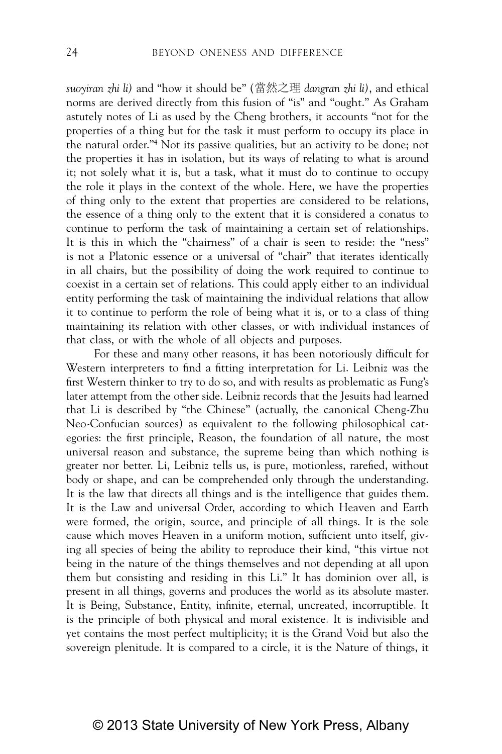*suoyiran zhi li)* and "how it should be" (當然之理 *dangran zhi li)*, and ethical norms are derived directly from this fusion of "is" and "ought." As Graham astutely notes of Li as used by the Cheng brothers, it accounts "not for the properties of a thing but for the task it must perform to occupy its place in the natural order."4 Not its passive qualities, but an activity to be done; not the properties it has in isolation, but its ways of relating to what is around it; not solely what it is, but a task, what it must do to continue to occupy the role it plays in the context of the whole. Here, we have the properties of thing only to the extent that properties are considered to be relations, the essence of a thing only to the extent that it is considered a conatus to continue to perform the task of maintaining a certain set of relationships. It is this in which the "chairness" of a chair is seen to reside: the "ness" is not a Platonic essence or a universal of "chair" that iterates identically in all chairs, but the possibility of doing the work required to continue to coexist in a certain set of relations. This could apply either to an individual entity performing the task of maintaining the individual relations that allow it to continue to perform the role of being what it is, or to a class of thing maintaining its relation with other classes, or with individual instances of that class, or with the whole of all objects and purposes.

For these and many other reasons, it has been notoriously difficult for Western interpreters to find a fitting interpretation for Li. Leibniz was the first Western thinker to try to do so, and with results as problematic as Fung's later attempt from the other side. Leibniz records that the Jesuits had learned that Li is described by "the Chinese" (actually, the canonical Cheng‑Zhu Neo-Confucian sources) as equivalent to the following philosophical categories: the first principle, Reason, the foundation of all nature, the most universal reason and substance, the supreme being than which nothing is greater nor better. Li, Leibniz tells us, is pure, motionless, rarefied, without body or shape, and can be comprehended only through the understanding. It is the law that directs all things and is the intelligence that guides them. It is the Law and universal Order, according to which Heaven and Earth were formed, the origin, source, and principle of all things. It is the sole cause which moves Heaven in a uniform motion, sufficient unto itself, giving all species of being the ability to reproduce their kind, "this virtue not being in the nature of the things themselves and not depending at all upon them but consisting and residing in this Li." It has dominion over all, is present in all things, governs and produces the world as its absolute master. It is Being, Substance, Entity, infinite, eternal, uncreated, incorruptible. It is the principle of both physical and moral existence. It is indivisible and yet contains the most perfect multiplicity; it is the Grand Void but also the sovereign plenitude. It is compared to a circle, it is the Nature of things, it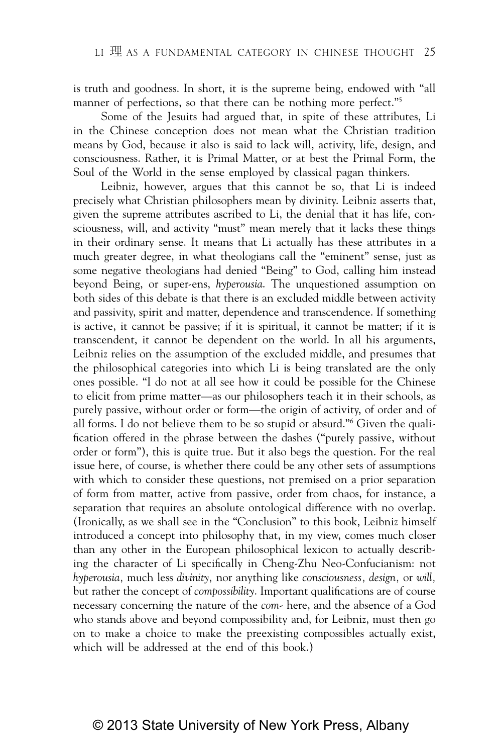is truth and goodness. In short, it is the supreme being, endowed with "all manner of perfections, so that there can be nothing more perfect."<sup>5</sup>

Some of the Jesuits had argued that, in spite of these attributes, Li in the Chinese conception does not mean what the Christian tradition means by God, because it also is said to lack will, activity, life, design, and consciousness. Rather, it is Primal Matter, or at best the Primal Form, the Soul of the World in the sense employed by classical pagan thinkers.

Leibniz, however, argues that this cannot be so, that Li is indeed precisely what Christian philosophers mean by divinity. Leibniz asserts that, given the supreme attributes ascribed to Li, the denial that it has life, consciousness, will, and activity "must" mean merely that it lacks these things in their ordinary sense. It means that Li actually has these attributes in a much greater degree, in what theologians call the "eminent" sense, just as some negative theologians had denied "Being" to God, calling him instead beyond Being, or super‑ens, *hyperousia*. The unquestioned assumption on both sides of this debate is that there is an excluded middle between activity and passivity, spirit and matter, dependence and transcendence. If something is active, it cannot be passive; if it is spiritual, it cannot be matter; if it is transcendent, it cannot be dependent on the world. In all his arguments, Leibniz relies on the assumption of the excluded middle, and presumes that the philosophical categories into which Li is being translated are the only ones possible. "I do not at all see how it could be possible for the Chinese to elicit from prime matter—as our philosophers teach it in their schools, as purely passive, without order or form—the origin of activity, of order and of all forms. I do not believe them to be so stupid or absurd."<sup>6</sup> Given the qualification offered in the phrase between the dashes ("purely passive, without order or form"), this is quite true. But it also begs the question. For the real issue here, of course, is whether there could be any other sets of assumptions with which to consider these questions, not premised on a prior separation of form from matter, active from passive, order from chaos, for instance, a separation that requires an absolute ontological difference with no overlap. (Ironically, as we shall see in the "Conclusion" to this book, Leibniz himself introduced a concept into philosophy that, in my view, comes much closer than any other in the European philosophical lexicon to actually describing the character of Li specifically in Cheng‑Zhu Neo‑Confucianism: not *hyperousia,* much less *divinity,* nor anything like *consciousness, design,* or *will,* but rather the concept of *compossibility*. Important qualifications are of course necessary concerning the nature of the *com-* here, and the absence of a God who stands above and beyond compossibility and, for Leibniz, must then go on to make a choice to make the preexisting compossibles actually exist, which will be addressed at the end of this book.)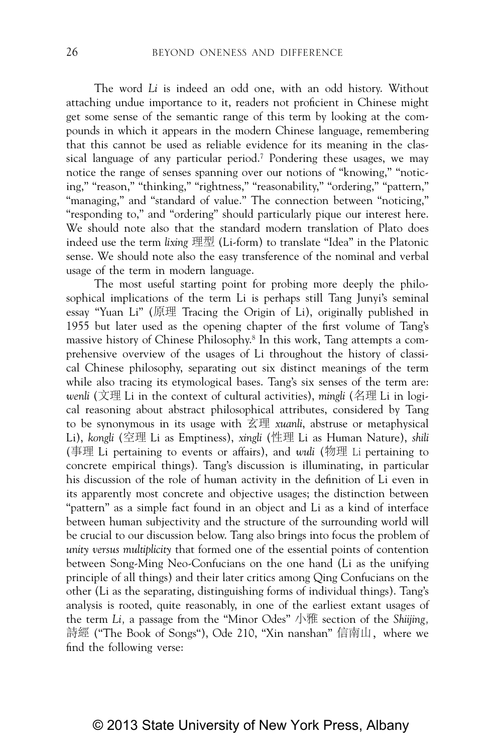The word *Li* is indeed an odd one, with an odd history. Without attaching undue importance to it, readers not proficient in Chinese might get some sense of the semantic range of this term by looking at the compounds in which it appears in the modern Chinese language, remembering that this cannot be used as reliable evidence for its meaning in the classical language of any particular period.<sup>7</sup> Pondering these usages, we may notice the range of senses spanning over our notions of "knowing," "noticing," "reason," "thinking," "rightness," "reasonability," "ordering," "pattern," "managing," and "standard of value." The connection between "noticing," "responding to," and "ordering" should particularly pique our interest here. We should note also that the standard modern translation of Plato does indeed use the term *lixing* 理型 (Li‑form) to translate "Idea" in the Platonic sense. We should note also the easy transference of the nominal and verbal usage of the term in modern language.

The most useful starting point for probing more deeply the philosophical implications of the term Li is perhaps still Tang Junyi's seminal essay "Yuan Li" (原理 Tracing the Origin of Li), originally published in 1955 but later used as the opening chapter of the first volume of Tang's massive history of Chinese Philosophy.<sup>8</sup> In this work, Tang attempts a comprehensive overview of the usages of Li throughout the history of classical Chinese philosophy, separating out six distinct meanings of the term while also tracing its etymological bases. Tang's six senses of the term are: wenli (文理 Li in the context of cultural activities), mingli (名理 Li in logical reasoning about abstract philosophical attributes, considered by Tang to be synonymous in its usage with 玄理 *xuanli*, abstruse or metaphysical Li), *kongli* (空理 Li as Emptiness), *xingli* (性理 Li as Human Nature), *shili*  (事理 Li pertaining to events or affairs), and *wuli* (物理 Li pertaining to concrete empirical things). Tang's discussion is illuminating, in particular his discussion of the role of human activity in the definition of Li even in its apparently most concrete and objective usages; the distinction between "pattern" as a simple fact found in an object and Li as a kind of interface between human subjectivity and the structure of the surrounding world will be crucial to our discussion below. Tang also brings into focus the problem of *unity versus multiplicity* that formed one of the essential points of contention between Song‑Ming Neo‑Confucians on the one hand (Li as the unifying principle of all things) and their later critics among Qing Confucians on the other (Li as the separating, distinguishing forms of individual things). Tang's analysis is rooted, quite reasonably, in one of the earliest extant usages of the term *Li,* a passage from the "Minor Odes" 小雅 section of the *Shiijing,* 詩經 ("The Book of Songs"), Ode 210, "Xin nanshan" 信南山, where we find the following verse: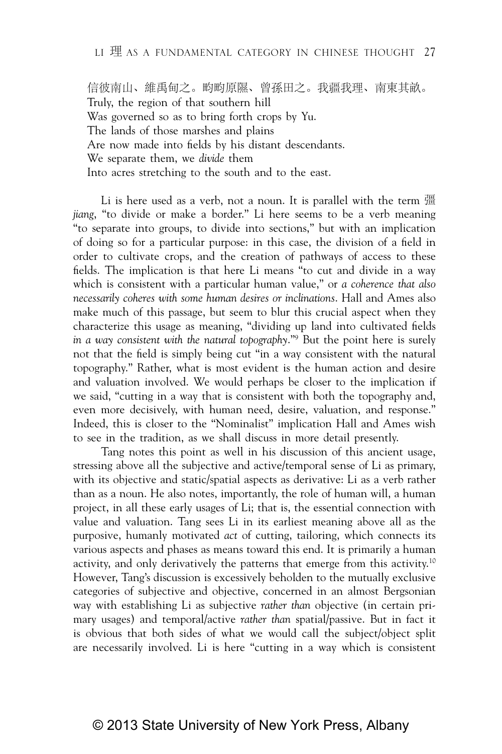信彼南山、維禹甸之。畇畇原隰、曾孫田之。我疆我理、南東其畝。 Truly, the region of that southern hill Was governed so as to bring forth crops by Yu. The lands of those marshes and plains Are now made into fields by his distant descendants. We separate them, we *divide* them Into acres stretching to the south and to the east.

Li is here used as a verb, not a noun. It is parallel with the term 彊 *jiang*, "to divide or make a border." Li here seems to be a verb meaning "to separate into groups, to divide into sections," but with an implication of doing so for a particular purpose: in this case, the division of a field in order to cultivate crops, and the creation of pathways of access to these fields. The implication is that here Li means "to cut and divide in a way which is consistent with a particular human value," or *a coherence that also necessarily coheres with some human desires or inclinations*. Hall and Ames also make much of this passage, but seem to blur this crucial aspect when they characterize this usage as meaning, "dividing up land into cultivated fields *in a way consistent with the natural topography*."9 But the point here is surely not that the field is simply being cut "in a way consistent with the natural topography." Rather, what is most evident is the human action and desire and valuation involved. We would perhaps be closer to the implication if we said, "cutting in a way that is consistent with both the topography and, even more decisively, with human need, desire, valuation, and response." Indeed, this is closer to the "Nominalist" implication Hall and Ames wish to see in the tradition, as we shall discuss in more detail presently.

Tang notes this point as well in his discussion of this ancient usage, stressing above all the subjective and active/temporal sense of Li as primary, with its objective and static/spatial aspects as derivative: Li as a verb rather than as a noun. He also notes, importantly, the role of human will, a human project, in all these early usages of Li; that is, the essential connection with value and valuation. Tang sees Li in its earliest meaning above all as the purposive, humanly motivated *act* of cutting, tailoring, which connects its various aspects and phases as means toward this end. It is primarily a human activity, and only derivatively the patterns that emerge from this activity.10 However, Tang's discussion is excessively beholden to the mutually exclusive categories of subjective and objective, concerned in an almost Bergsonian way with establishing Li as subjective *rather than* objective (in certain pri‑ mary usages) and temporal/active *rather than* spatial/passive. But in fact it is obvious that both sides of what we would call the subject/object split are necessarily involved. Li is here "cutting in a way which is consistent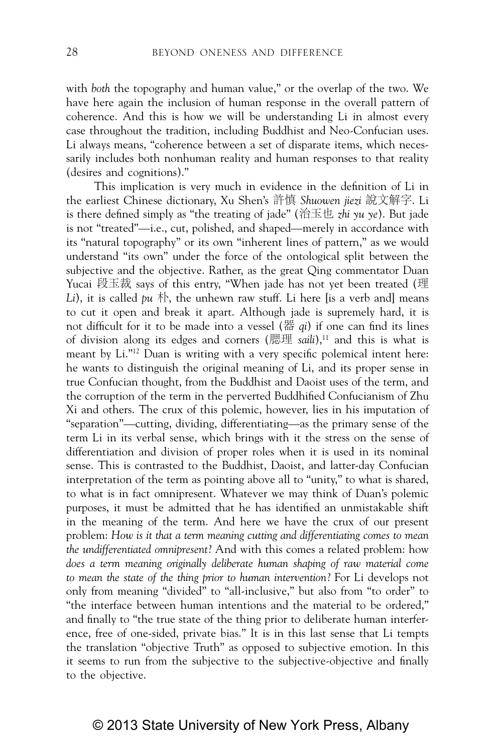with *both* the topography and human value," or the overlap of the two. We have here again the inclusion of human response in the overall pattern of coherence. And this is how we will be understanding Li in almost every case throughout the tradition, including Buddhist and Neo‑Confucian uses. Li always means, "coherence between a set of disparate items, which necessarily includes both nonhuman reality and human responses to that reality (desires and cognitions)."

This implication is very much in evidence in the definition of Li in the earliest Chinese dictionary, Xu Shen's 許慎 *Shuowen jiezi* 說文解字. Li is there defined simply as "the treating of jade" (治玉也 *zhi yu ye*). But jade is not "treated"—i.e., cut, polished, and shaped—merely in accordance with its "natural topography" or its own "inherent lines of pattern," as we would understand "its own" under the force of the ontological split between the subjective and the objective. Rather, as the great Qing commentator Duan Yucai 段玉裁 says of this entry, "When jade has not yet been treated (理 *Li*), it is called *pu*  $\uparrow \uparrow$ , the unhewn raw stuff. Li here [is a verb and] means to cut it open and break it apart. Although jade is supremely hard, it is not difficult for it to be made into a vessel (器 *qi*) if one can find its lines of division along its edges and corners (腮理 *saili*),<sup>11</sup> and this is what is meant by Li."12 Duan is writing with a very specific polemical intent here: he wants to distinguish the original meaning of Li, and its proper sense in true Confucian thought, from the Buddhist and Daoist uses of the term, and the corruption of the term in the perverted Buddhified Confucianism of Zhu Xi and others. The crux of this polemic, however, lies in his imputation of "separation"—cutting, dividing, differentiating—as the primary sense of the term Li in its verbal sense, which brings with it the stress on the sense of differentiation and division of proper roles when it is used in its nominal sense. This is contrasted to the Buddhist, Daoist, and latter-day Confucian interpretation of the term as pointing above all to "unity," to what is shared, to what is in fact omnipresent. Whatever we may think of Duan's polemic purposes, it must be admitted that he has identified an unmistakable shift in the meaning of the term. And here we have the crux of our present problem: *How is it that a term meaning cutting and differentiating comes to mean the undifferentiated omnipresent*? And with this comes a related problem: how *does a term meaning originally deliberate human shaping of raw material come to mean the state of the thing prior to human intervention*? For Li develops not only from meaning "divided" to "all‑inclusive," but also from "to order" to "the interface between human intentions and the material to be ordered," and finally to "the true state of the thing prior to deliberate human interference, free of one-sided, private bias." It is in this last sense that Li tempts the translation "objective Truth" as opposed to subjective emotion. In this it seems to run from the subjective to the subjective‑objective and finally to the objective.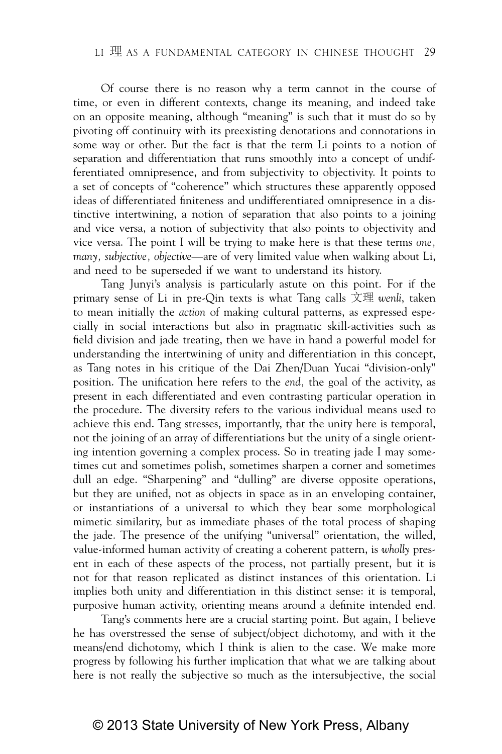Of course there is no reason why a term cannot in the course of time, or even in different contexts, change its meaning, and indeed take on an opposite meaning, although "meaning" is such that it must do so by pivoting off continuity with its preexisting denotations and connotations in some way or other. But the fact is that the term Li points to a notion of separation and differentiation that runs smoothly into a concept of undifferentiated omnipresence, and from subjectivity to objectivity. It points to a set of concepts of "coherence" which structures these apparently opposed ideas of differentiated finiteness and undifferentiated omnipresence in a distinctive intertwining, a notion of separation that also points to a joining and vice versa, a notion of subjectivity that also points to objectivity and vice versa. The point I will be trying to make here is that these terms *one, many, subjective, objective*—are of very limited value when walking about Li, and need to be superseded if we want to understand its history.

Tang Junyi's analysis is particularly astute on this point. For if the primary sense of Li in pre‑Qin texts is what Tang calls 文理 *wenli*, taken to mean initially the *action* of making cultural patterns, as expressed especially in social interactions but also in pragmatic skill‑activities such as field division and jade treating, then we have in hand a powerful model for understanding the intertwining of unity and differentiation in this concept, as Tang notes in his critique of the Dai Zhen/Duan Yucai "division-only" position. The unification here refers to the *end,* the goal of the activity, as present in each differentiated and even contrasting particular operation in the procedure. The diversity refers to the various individual means used to achieve this end. Tang stresses, importantly, that the unity here is temporal, not the joining of an array of differentiations but the unity of a single orienting intention governing a complex process. So in treating jade I may sometimes cut and sometimes polish, sometimes sharpen a corner and sometimes dull an edge. "Sharpening" and "dulling" are diverse opposite operations, but they are unified, not as objects in space as in an enveloping container, or instantiations of a universal to which they bear some morphological mimetic similarity, but as immediate phases of the total process of shaping the jade. The presence of the unifying "universal" orientation, the willed, value-informed human activity of creating a coherent pattern, is *wholly* present in each of these aspects of the process, not partially present, but it is not for that reason replicated as distinct instances of this orientation. Li implies both unity and differentiation in this distinct sense: it is temporal, purposive human activity, orienting means around a definite intended end.

Tang's comments here are a crucial starting point. But again, I believe he has overstressed the sense of subject/object dichotomy, and with it the means/end dichotomy, which I think is alien to the case. We make more progress by following his further implication that what we are talking about here is not really the subjective so much as the intersubjective, the social

# © 2013 State University of New York Press, Albany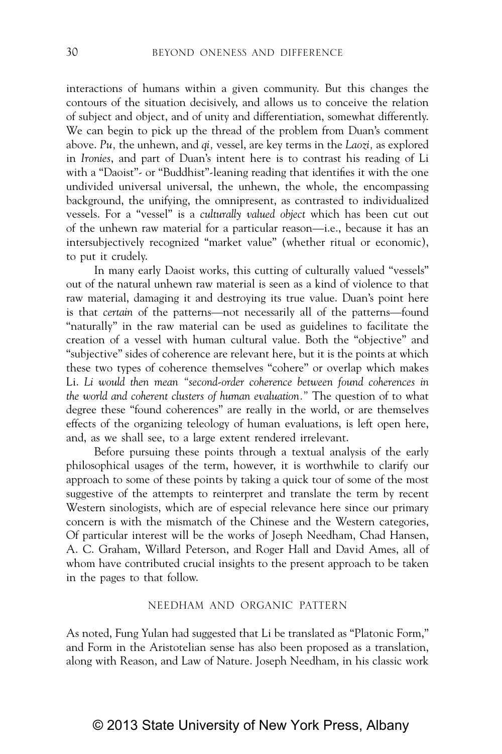interactions of humans within a given community. But this changes the contours of the situation decisively, and allows us to conceive the relation of subject and object, and of unity and differentiation, somewhat differently. We can begin to pick up the thread of the problem from Duan's comment above. *Pu,* the unhewn, and *qi,* vessel, are key terms in the *Laozi,* as explored in *Ironies*, and part of Duan's intent here is to contrast his reading of Li with a "Daoist" or "Buddhist" leaning reading that identifies it with the one undivided universal universal, the unhewn, the whole, the encompassing background, the unifying, the omnipresent, as contrasted to individualized vessels. For a "vessel" is a *culturally valued object* which has been cut out of the unhewn raw material for a particular reason—i.e., because it has an intersubjectively recognized "market value" (whether ritual or economic), to put it crudely.

In many early Daoist works, this cutting of culturally valued "vessels" out of the natural unhewn raw material is seen as a kind of violence to that raw material, damaging it and destroying its true value. Duan's point here is that *certain* of the patterns—not necessarily all of the patterns—found "naturally" in the raw material can be used as guidelines to facilitate the creation of a vessel with human cultural value. Both the "objective" and "subjective" sides of coherence are relevant here, but it is the points at which these two types of coherence themselves "cohere" or overlap which makes Li. *Li would then mean "second-order coherence between found coherences in the world and coherent clusters of human evaluation."* The question of to what degree these "found coherences" are really in the world, or are themselves effects of the organizing teleology of human evaluations, is left open here, and, as we shall see, to a large extent rendered irrelevant.

Before pursuing these points through a textual analysis of the early philosophical usages of the term, however, it is worthwhile to clarify our approach to some of these points by taking a quick tour of some of the most suggestive of the attempts to reinterpret and translate the term by recent Western sinologists, which are of especial relevance here since our primary concern is with the mismatch of the Chinese and the Western categories, Of particular interest will be the works of Joseph Needham, Chad Hansen, A. C. Graham, Willard Peterson, and Roger Hall and David Ames, all of whom have contributed crucial insights to the present approach to be taken in the pages to that follow.

#### NEEDHAM AND ORGANIC PATTERN

As noted, Fung Yulan had suggested that Li be translated as "Platonic Form," and Form in the Aristotelian sense has also been proposed as a translation, along with Reason, and Law of Nature. Joseph Needham, in his classic work

## © 2013 State University of New York Press, Albany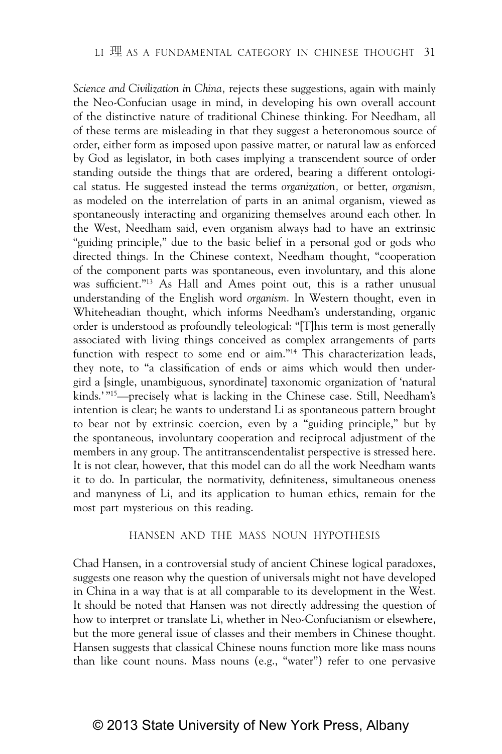*Science and Civilization in China,* rejects these suggestions, again with mainly the Neo‑Confucian usage in mind, in developing his own overall account of the distinctive nature of traditional Chinese thinking. For Needham, all of these terms are misleading in that they suggest a heteronomous source of order, either form as imposed upon passive matter, or natural law as enforced by God as legislator, in both cases implying a transcendent source of order standing outside the things that are ordered, bearing a different ontological status. He suggested instead the terms *organization,* or better, *organism,* as modeled on the interrelation of parts in an animal organism, viewed as spontaneously interacting and organizing themselves around each other. In the West, Needham said, even organism always had to have an extrinsic "guiding principle," due to the basic belief in a personal god or gods who directed things. In the Chinese context, Needham thought, "cooperation of the component parts was spontaneous, even involuntary, and this alone was sufficient."13 As Hall and Ames point out, this is a rather unusual understanding of the English word *organism*. In Western thought, even in Whiteheadian thought, which informs Needham's understanding, organic order is understood as profoundly teleological: "[T]his term is most generally associated with living things conceived as complex arrangements of parts function with respect to some end or aim."14 This characterization leads, they note, to "a classification of ends or aims which would then undergird a [single, unambiguous, synordinate] taxonomic organization of 'natural kinds.'"15—precisely what is lacking in the Chinese case. Still, Needham's intention is clear; he wants to understand Li as spontaneous pattern brought to bear not by extrinsic coercion, even by a "guiding principle," but by the spontaneous, involuntary cooperation and reciprocal adjustment of the members in any group. The antitranscendentalist perspective is stressed here. It is not clear, however, that this model can do all the work Needham wants it to do. In particular, the normativity, definiteness, simultaneous oneness and manyness of Li, and its application to human ethics, remain for the most part mysterious on this reading.

## HANSEN AND THE MASS NOUN HYPOTHESIS

Chad Hansen, in a controversial study of ancient Chinese logical paradoxes, suggests one reason why the question of universals might not have developed in China in a way that is at all comparable to its development in the West. It should be noted that Hansen was not directly addressing the question of how to interpret or translate Li, whether in Neo-Confucianism or elsewhere, but the more general issue of classes and their members in Chinese thought. Hansen suggests that classical Chinese nouns function more like mass nouns than like count nouns. Mass nouns (e.g., "water") refer to one pervasive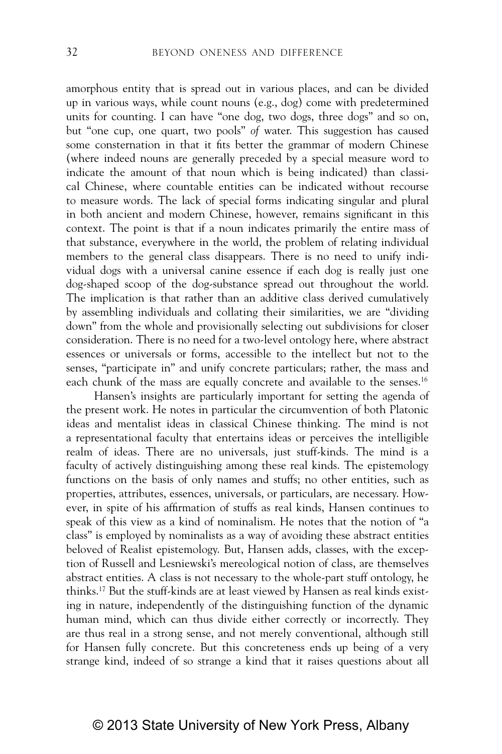amorphous entity that is spread out in various places, and can be divided up in various ways, while count nouns (e.g., dog) come with predetermined units for counting. I can have "one dog, two dogs, three dogs" and so on, but "one cup, one quart, two pools" *of* water. This suggestion has caused some consternation in that it fits better the grammar of modern Chinese (where indeed nouns are generally preceded by a special measure word to indicate the amount of that noun which is being indicated) than classical Chinese, where countable entities can be indicated without recourse to measure words. The lack of special forms indicating singular and plural in both ancient and modern Chinese, however, remains significant in this context. The point is that if a noun indicates primarily the entire mass of that substance, everywhere in the world, the problem of relating individual members to the general class disappears. There is no need to unify individual dogs with a universal canine essence if each dog is really just one dog-shaped scoop of the dog-substance spread out throughout the world. The implication is that rather than an additive class derived cumulatively by assembling individuals and collating their similarities, we are "dividing down" from the whole and provisionally selecting out subdivisions for closer consideration. There is no need for a two‑level ontology here, where abstract essences or universals or forms, accessible to the intellect but not to the senses, "participate in" and unify concrete particulars; rather, the mass and each chunk of the mass are equally concrete and available to the senses.<sup>16</sup>

Hansen's insights are particularly important for setting the agenda of the present work. He notes in particular the circumvention of both Platonic ideas and mentalist ideas in classical Chinese thinking. The mind is not a representational faculty that entertains ideas or perceives the intelligible realm of ideas. There are no universals, just stuff-kinds. The mind is a faculty of actively distinguishing among these real kinds. The epistemology functions on the basis of only names and stuffs; no other entities, such as properties, attributes, essences, universals, or particulars, are necessary. However, in spite of his affirmation of stuffs as real kinds, Hansen continues to speak of this view as a kind of nominalism. He notes that the notion of "a class" is employed by nominalists as a way of avoiding these abstract entities beloved of Realist epistemology. But, Hansen adds, classes, with the exception of Russell and Lesniewski's mereological notion of class, are themselves abstract entities. A class is not necessary to the whole‑part stuff ontology, he thinks.<sup>17</sup> But the stuff-kinds are at least viewed by Hansen as real kinds existing in nature, independently of the distinguishing function of the dynamic human mind, which can thus divide either correctly or incorrectly. They are thus real in a strong sense, and not merely conventional, although still for Hansen fully concrete. But this concreteness ends up being of a very strange kind, indeed of so strange a kind that it raises questions about all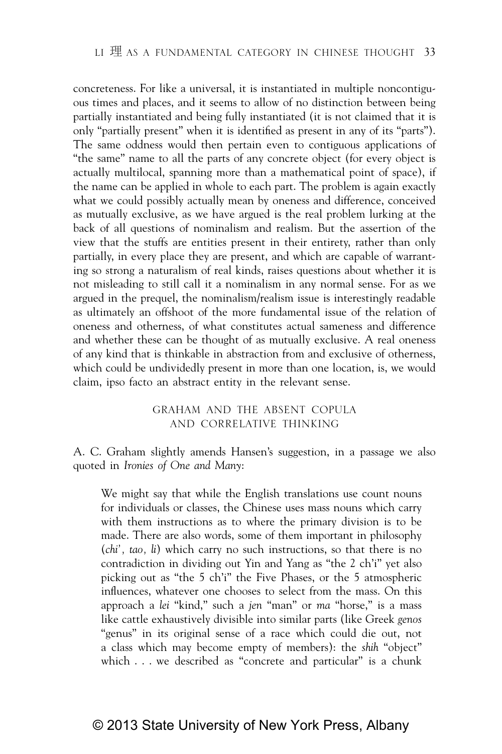concreteness. For like a universal, it is instantiated in multiple noncontiguous times and places, and it seems to allow of no distinction between being partially instantiated and being fully instantiated (it is not claimed that it is only "partially present" when it is identified as present in any of its "parts"). The same oddness would then pertain even to contiguous applications of "the same" name to all the parts of any concrete object (for every object is actually multilocal, spanning more than a mathematical point of space), if the name can be applied in whole to each part. The problem is again exactly what we could possibly actually mean by oneness and difference, conceived as mutually exclusive, as we have argued is the real problem lurking at the back of all questions of nominalism and realism. But the assertion of the view that the stuffs are entities present in their entirety, rather than only partially, in every place they are present, and which are capable of warranting so strong a naturalism of real kinds, raises questions about whether it is not misleading to still call it a nominalism in any normal sense. For as we argued in the prequel, the nominalism/realism issue is interestingly readable as ultimately an offshoot of the more fundamental issue of the relation of oneness and otherness, of what constitutes actual sameness and difference and whether these can be thought of as mutually exclusive. A real oneness of any kind that is thinkable in abstraction from and exclusive of otherness, which could be undividedly present in more than one location, is, we would claim, ipso facto an abstract entity in the relevant sense.

## GRAHAM AND THE ABSENT COPULA AND CORRELATIVE THINKING

A. C. Graham slightly amends Hansen's suggestion, in a passage we also quoted in *Ironies of One and Many*:

We might say that while the English translations use count nouns for individuals or classes, the Chinese uses mass nouns which carry with them instructions as to where the primary division is to be made. There are also words, some of them important in philosophy (*chi', tao, li*) which carry no such instructions, so that there is no contradiction in dividing out Yin and Yang as "the 2 ch'i" yet also picking out as "the 5 ch'i" the Five Phases, or the 5 atmospheric influences, whatever one chooses to select from the mass. On this approach a *lei* "kind," such a *jen* "man" or *ma* "horse," is a mass like cattle exhaustively divisible into similar parts (like Greek *genos* "genus" in its original sense of a race which could die out, not a class which may become empty of members): the *shih* "object" which . . . we described as "concrete and particular" is a chunk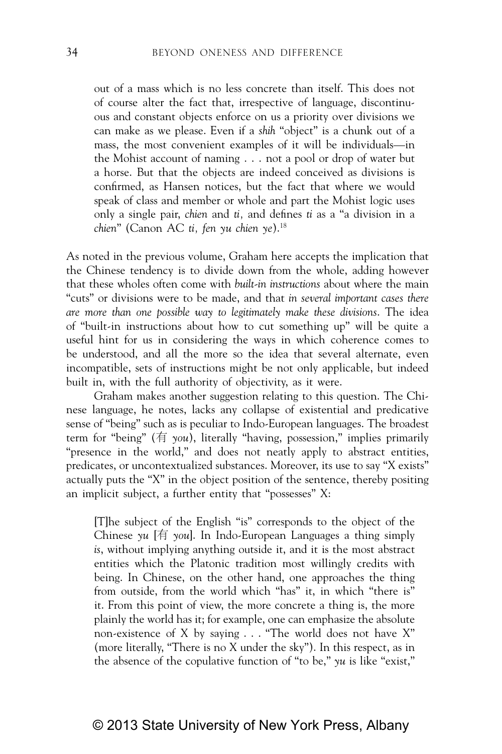out of a mass which is no less concrete than itself. This does not of course alter the fact that, irrespective of language, discontinuous and constant objects enforce on us a priority over divisions we can make as we please. Even if a *shih* "object" is a chunk out of a mass, the most convenient examples of it will be individuals—in the Mohist account of naming . . . not a pool or drop of water but a horse. But that the objects are indeed conceived as divisions is confirmed, as Hansen notices, but the fact that where we would speak of class and member or whole and part the Mohist logic uses only a single pair, *chien* and *ti,* and defines *ti* as a "a division in a *chien*" (Canon AC *ti, fen yu chien ye*).18

As noted in the previous volume, Graham here accepts the implication that the Chinese tendency is to divide down from the whole, adding however that these wholes often come with *built-in instructions* about where the main "cuts" or divisions were to be made, and that *in several important cases there are more than one possible way to legitimately make these divisions*. The idea of "built‑in instructions about how to cut something up" will be quite a useful hint for us in considering the ways in which coherence comes to be understood, and all the more so the idea that several alternate, even incompatible, sets of instructions might be not only applicable, but indeed built in, with the full authority of objectivity, as it were.

Graham makes another suggestion relating to this question. The Chinese language, he notes, lacks any collapse of existential and predicative sense of "being" such as is peculiar to Indo‑European languages. The broadest term for "being" (有 *you*), literally "having, possession," implies primarily "presence in the world," and does not neatly apply to abstract entities, predicates, or uncontextualized substances. Moreover, its use to say "X exists" actually puts the "X" in the object position of the sentence, thereby positing an implicit subject, a further entity that "possesses" X:

[T]he subject of the English "is" corresponds to the object of the Chinese *yu* [有 *you*]. In Indo‑European Languages a thing simply *is*, without implying anything outside it, and it is the most abstract entities which the Platonic tradition most willingly credits with being. In Chinese, on the other hand, one approaches the thing from outside, from the world which "has" it, in which "there is" it. From this point of view, the more concrete a thing is, the more plainly the world has it; for example, one can emphasize the absolute non‑existence of X by saying . . . "The world does not have X" (more literally, "There is no X under the sky"). In this respect, as in the absence of the copulative function of "to be," *yu* is like "exist,"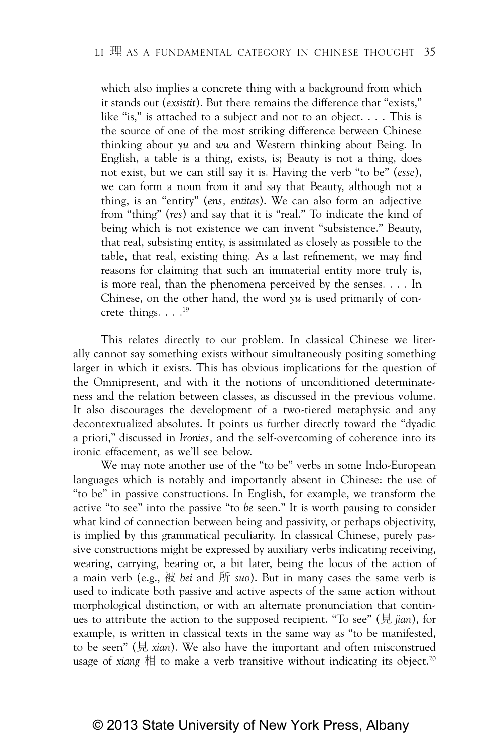which also implies a concrete thing with a background from which it stands out (*exsistit*). But there remains the difference that "exists," like "is," is attached to a subject and not to an object. . . . This is the source of one of the most striking difference between Chinese thinking about *yu* and *wu* and Western thinking about Being. In English, a table is a thing, exists, is; Beauty is not a thing, does not exist, but we can still say it is. Having the verb "to be" (*esse*), we can form a noun from it and say that Beauty, although not a thing, is an "entity" (*ens, entitas*). We can also form an adjective from "thing" (*res*) and say that it is "real." To indicate the kind of being which is not existence we can invent "subsistence." Beauty, that real, subsisting entity, is assimilated as closely as possible to the table, that real, existing thing. As a last refinement, we may find reasons for claiming that such an immaterial entity more truly is, is more real, than the phenomena perceived by the senses. . . . In Chinese, on the other hand, the word *yu* is used primarily of concrete things. . . . 19

This relates directly to our problem. In classical Chinese we literally cannot say something exists without simultaneously positing something larger in which it exists. This has obvious implications for the question of the Omnipresent, and with it the notions of unconditioned determinateness and the relation between classes, as discussed in the previous volume. It also discourages the development of a two-tiered metaphysic and any decontextualized absolutes. It points us further directly toward the "dyadic a priori," discussed in *Ironies,* and the self‑overcoming of coherence into its ironic effacement, as we'll see below.

We may note another use of the "to be" verbs in some Indo-European languages which is notably and importantly absent in Chinese: the use of "to be" in passive constructions. In English, for example, we transform the active "to see" into the passive "to *be* seen." It is worth pausing to consider what kind of connection between being and passivity, or perhaps objectivity, is implied by this grammatical peculiarity. In classical Chinese, purely passive constructions might be expressed by auxiliary verbs indicating receiving, wearing, carrying, bearing or, a bit later, being the locus of the action of a main verb (e.g., 被 *bei* and 所 *suo*). But in many cases the same verb is used to indicate both passive and active aspects of the same action without morphological distinction, or with an alternate pronunciation that continues to attribute the action to the supposed recipient. "To see" (見 *jian*), for example, is written in classical texts in the same way as "to be manifested, to be seen" (見 *xian*). We also have the important and often misconstrued usage of *xiang*  $#$  to make a verb transitive without indicating its object.<sup>20</sup>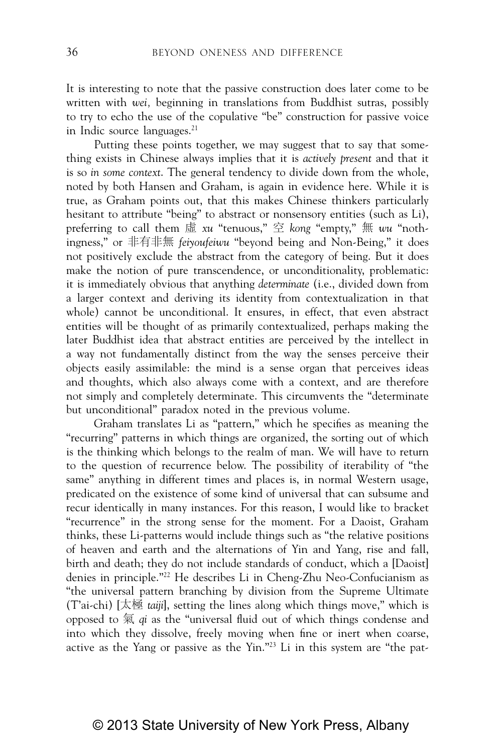It is interesting to note that the passive construction does later come to be written with *wei,* beginning in translations from Buddhist sutras, possibly to try to echo the use of the copulative "be" construction for passive voice in Indic source languages.<sup>21</sup>

Putting these points together, we may suggest that to say that something exists in Chinese always implies that it is *actively present* and that it is so *in some context*. The general tendency to divide down from the whole, noted by both Hansen and Graham, is again in evidence here. While it is true, as Graham points out, that this makes Chinese thinkers particularly hesitant to attribute "being" to abstract or nonsensory entities (such as Li), preferring to call them 虛 *xu* "tenuous," 空 kong "empty," 無 wu "nothingness," or 非有非無 *feiyoufeiwu* "beyond being and Non‑Being," it does not positively exclude the abstract from the category of being. But it does make the notion of pure transcendence, or unconditionality, problematic: it is immediately obvious that anything *determinate* (i.e., divided down from a larger context and deriving its identity from contextualization in that whole) cannot be unconditional. It ensures, in effect, that even abstract entities will be thought of as primarily contextualized, perhaps making the later Buddhist idea that abstract entities are perceived by the intellect in a way not fundamentally distinct from the way the senses perceive their objects easily assimilable: the mind is a sense organ that perceives ideas and thoughts, which also always come with a context, and are therefore not simply and completely determinate. This circumvents the "determinate but unconditional" paradox noted in the previous volume.

Graham translates Li as "pattern," which he specifies as meaning the "recurring" patterns in which things are organized, the sorting out of which is the thinking which belongs to the realm of man. We will have to return to the question of recurrence below. The possibility of iterability of "the same" anything in different times and places is, in normal Western usage, predicated on the existence of some kind of universal that can subsume and recur identically in many instances. For this reason, I would like to bracket "recurrence" in the strong sense for the moment. For a Daoist, Graham thinks, these Li‑patterns would include things such as "the relative positions of heaven and earth and the alternations of Yin and Yang, rise and fall, birth and death; they do not include standards of conduct, which a [Daoist] denies in principle."<sup>22</sup> He describes Li in Cheng-Zhu Neo-Confucianism as "the universal pattern branching by division from the Supreme Ultimate (T'ai‑chi) [太極 *taiji*], setting the lines along which things move," which is opposed to 氣 *qi* as the "universal fluid out of which things condense and into which they dissolve, freely moving when fine or inert when coarse, active as the Yang or passive as the Yin."<sup>23</sup> Li in this system are "the pat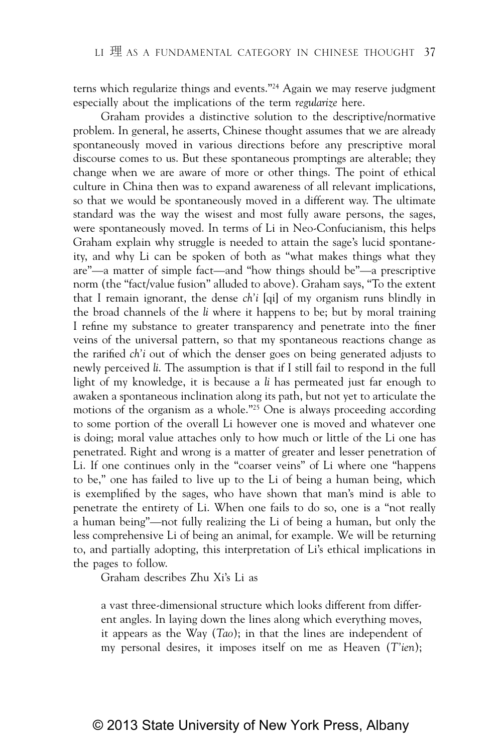terns which regularize things and events."<sup>24</sup> Again we may reserve judgment especially about the implications of the term *regularize* here.

Graham provides a distinctive solution to the descriptive/normative problem. In general, he asserts, Chinese thought assumes that we are already spontaneously moved in various directions before any prescriptive moral discourse comes to us. But these spontaneous promptings are alterable; they change when we are aware of more or other things. The point of ethical culture in China then was to expand awareness of all relevant implications, so that we would be spontaneously moved in a different way. The ultimate standard was the way the wisest and most fully aware persons, the sages, were spontaneously moved. In terms of Li in Neo-Confucianism, this helps Graham explain why struggle is needed to attain the sage's lucid spontaneity, and why Li can be spoken of both as "what makes things what they are"—a matter of simple fact—and "how things should be"—a prescriptive norm (the "fact/value fusion" alluded to above). Graham says, "To the extent that I remain ignorant, the dense *ch'i* [qi] of my organism runs blindly in the broad channels of the *li* where it happens to be; but by moral training I refine my substance to greater transparency and penetrate into the finer veins of the universal pattern, so that my spontaneous reactions change as the rarified *ch'i* out of which the denser goes on being generated adjusts to newly perceived *li*. The assumption is that if I still fail to respond in the full light of my knowledge, it is because a *li* has permeated just far enough to awaken a spontaneous inclination along its path, but not yet to articulate the motions of the organism as a whole."25 One is always proceeding according to some portion of the overall Li however one is moved and whatever one is doing; moral value attaches only to how much or little of the Li one has penetrated. Right and wrong is a matter of greater and lesser penetration of Li. If one continues only in the "coarser veins" of Li where one "happens to be," one has failed to live up to the Li of being a human being, which is exemplified by the sages, who have shown that man's mind is able to penetrate the entirety of Li. When one fails to do so, one is a "not really a human being"—not fully realizing the Li of being a human, but only the less comprehensive Li of being an animal, for example. We will be returning to, and partially adopting, this interpretation of Li's ethical implications in the pages to follow.

Graham describes Zhu Xi's Li as

a vast three-dimensional structure which looks different from different angles. In laying down the lines along which everything moves, it appears as the Way (*Tao*); in that the lines are independent of my personal desires, it imposes itself on me as Heaven (*T'ien*);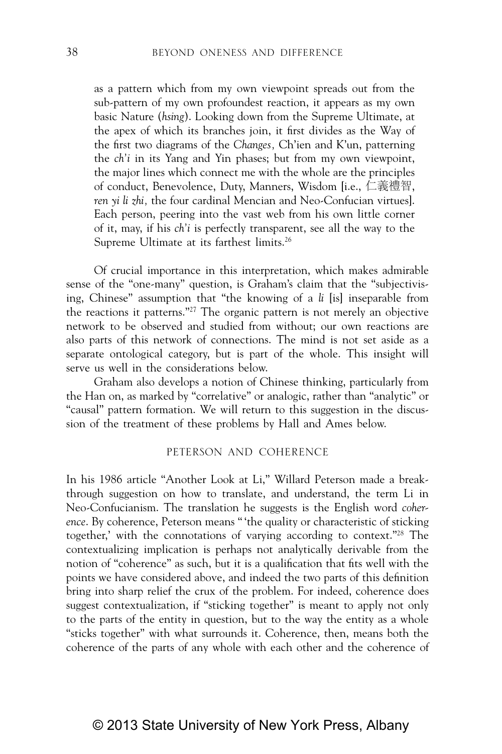as a pattern which from my own viewpoint spreads out from the sub‑pattern of my own profoundest reaction, it appears as my own basic Nature (*hsing*). Looking down from the Supreme Ultimate, at the apex of which its branches join, it first divides as the Way of the first two diagrams of the *Changes,* Ch'ien and K'un, patterning the *ch'i* in its Yang and Yin phases; but from my own viewpoint, the major lines which connect me with the whole are the principles of conduct, Benevolence, Duty, Manners, Wisdom [i.e., 仁義禮智, *ren yi li zhi,* the four cardinal Mencian and Neo‑Confucian virtues]. Each person, peering into the vast web from his own little corner of it, may, if his *ch'i* is perfectly transparent, see all the way to the Supreme Ultimate at its farthest limits.<sup>26</sup>

Of crucial importance in this interpretation, which makes admirable sense of the "one-many" question, is Graham's claim that the "subjectivising, Chinese" assumption that "the knowing of a *li* [is] inseparable from the reactions it patterns."27 The organic pattern is not merely an objective network to be observed and studied from without; our own reactions are also parts of this network of connections. The mind is not set aside as a separate ontological category, but is part of the whole. This insight will serve us well in the considerations below.

Graham also develops a notion of Chinese thinking, particularly from the Han on, as marked by "correlative" or analogic, rather than "analytic" or "causal" pattern formation. We will return to this suggestion in the discussion of the treatment of these problems by Hall and Ames below.

## PETERSON AND COHERENCE

In his 1986 article "Another Look at Li," Willard Peterson made a breakthrough suggestion on how to translate, and understand, the term Li in Neo‑Confucianism. The translation he suggests is the English word *coherence*. By coherence, Peterson means "'the quality or characteristic of sticking together,' with the connotations of varying according to context."28 The contextualizing implication is perhaps not analytically derivable from the notion of "coherence" as such, but it is a qualification that fits well with the points we have considered above, and indeed the two parts of this definition bring into sharp relief the crux of the problem. For indeed, coherence does suggest contextualization, if "sticking together" is meant to apply not only to the parts of the entity in question, but to the way the entity as a whole "sticks together" with what surrounds it. Coherence, then, means both the coherence of the parts of any whole with each other and the coherence of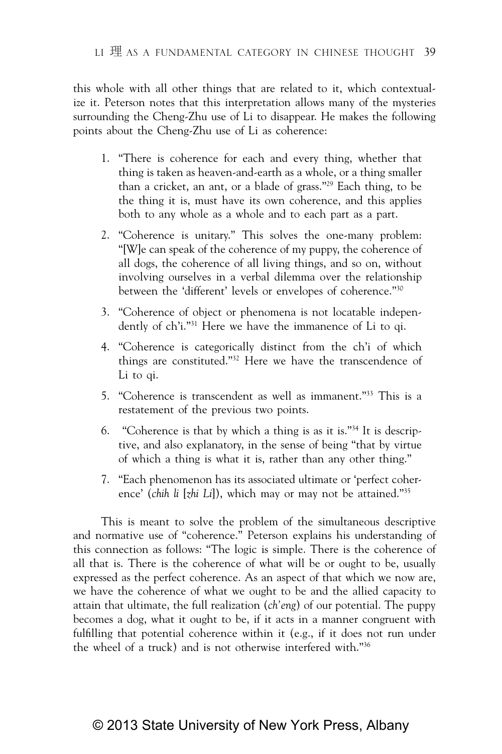this whole with all other things that are related to it, which contextualize it. Peterson notes that this interpretation allows many of the mysteries surrounding the Cheng‑Zhu use of Li to disappear. He makes the following points about the Cheng‑Zhu use of Li as coherence:

- 1. "There is coherence for each and every thing, whether that thing is taken as heaven‑and‑earth as a whole, or a thing smaller than a cricket, an ant, or a blade of grass."29 Each thing, to be the thing it is, must have its own coherence, and this applies both to any whole as a whole and to each part as a part.
- 2. "Coherence is unitary." This solves the one‑many problem: "[W]e can speak of the coherence of my puppy, the coherence of all dogs, the coherence of all living things, and so on, without involving ourselves in a verbal dilemma over the relationship between the 'different' levels or envelopes of coherence."30
- 3. "Coherence of object or phenomena is not locatable indepen‑ dently of ch'i."31 Here we have the immanence of Li to qi.
- 4. "Coherence is categorically distinct from the ch'i of which things are constituted."32 Here we have the transcendence of Li to qi.
- 5. "Coherence is transcendent as well as immanent."33 This is a restatement of the previous two points.
- 6. "Coherence is that by which a thing is as it is."<sup>34</sup> It is descriptive, and also explanatory, in the sense of being "that by virtue of which a thing is what it is, rather than any other thing."
- 7. "Each phenomenon has its associated ultimate or 'perfect coherence' (*chih li* [*zhi Li*]), which may or may not be attained."35

This is meant to solve the problem of the simultaneous descriptive and normative use of "coherence." Peterson explains his understanding of this connection as follows: "The logic is simple. There is the coherence of all that is. There is the coherence of what will be or ought to be, usually expressed as the perfect coherence. As an aspect of that which we now are, we have the coherence of what we ought to be and the allied capacity to attain that ultimate, the full realization (*ch'eng*) of our potential. The puppy becomes a dog, what it ought to be, if it acts in a manner congruent with fulfilling that potential coherence within it (e.g., if it does not run under the wheel of a truck) and is not otherwise interfered with."36